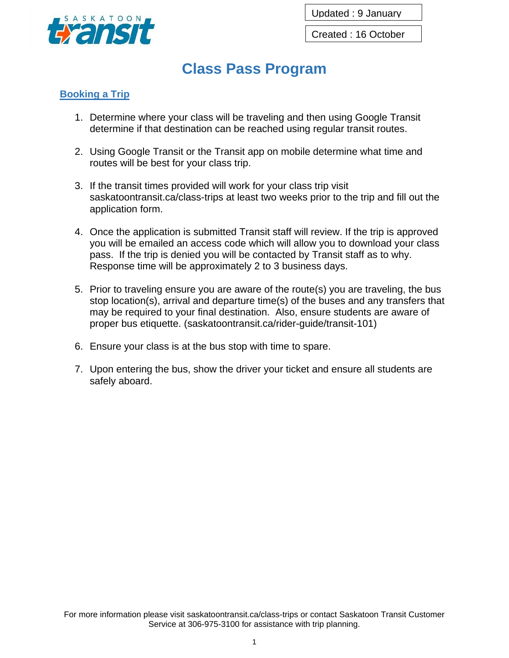

2018 16 October 2018 16 October 2018 16 October 2018 16 October 2018 16 October 2018 16 October 2018 16 Octobe<br>2017 16 October 2018 16 October 2018 16 October 2018 16 October 2018 16 October 2018 16 October 2018 16 Octobe Created : 16 October

# **Class Pass Program**

## **Booking a Trip**

- 1. Determine where your class will be traveling and then using Google Transit determine if that destination can be reached using regular transit routes.
- 2. Using Google Transit or the Transit app on mobile determine what time and routes will be best for your class trip.
- 3. If the transit times provided will work for your class trip visit saskatoontransit.ca/class-trips at least two weeks prior to the trip and fill out the application form.
- 4. Once the application is submitted Transit staff will review. If the trip is approved you will be emailed an access code which will allow you to download your class pass. If the trip is denied you will be contacted by Transit staff as to why. Response time will be approximately 2 to 3 business days.
- 5. Prior to traveling ensure you are aware of the route(s) you are traveling, the bus stop location(s), arrival and departure time(s) of the buses and any transfers that may be required to your final destination. Also, ensure students are aware of proper bus etiquette. (saskatoontransit.ca/rider-guide/transit-101)
- 6. Ensure your class is at the bus stop with time to spare.
- 7. Upon entering the bus, show the driver your ticket and ensure all students are safely aboard.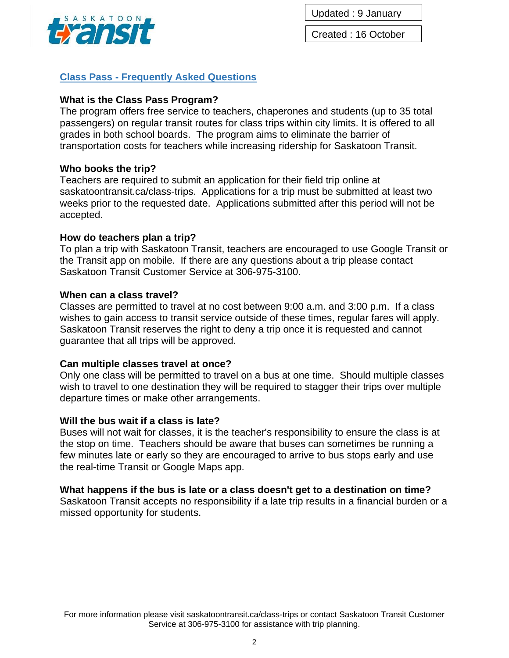

2018 16 October 2018 16 October 2018 16 October 2018 16 October 2018 16 October 2018 16 October 2018 16 Octobe<br>2017 16 October 2018 16 October 2018 16 October 2018 16 October 2018 16 October 2018 16 October 2018 16 Octobe Created : 16 October

# **Class Pass - Frequently Asked Questions**

## **What is the Class Pass Program?**

The program offers free service to teachers, chaperones and students (up to 35 total passengers) on regular transit routes for class trips within city limits. It is offered to all grades in both school boards. The program aims to eliminate the barrier of transportation costs for teachers while increasing ridership for Saskatoon Transit.

#### **Who books the trip?**

Teachers are required to submit an application for their field trip online at saskatoontransit.ca/class-trips. Applications for a trip must be submitted at least two weeks prior to the requested date. Applications submitted after this period will not be accepted.

#### **How do teachers plan a trip?**

To plan a trip with Saskatoon Transit, teachers are encouraged to use Google Transit or the Transit app on mobile. If there are any questions about a trip please contact Saskatoon Transit Customer Service at 306-975-3100.

#### **When can a class travel?**

Classes are permitted to travel at no cost between 9:00 a.m. and 3:00 p.m. If a class wishes to gain access to transit service outside of these times, regular fares will apply. Saskatoon Transit reserves the right to deny a trip once it is requested and cannot guarantee that all trips will be approved.

## **Can multiple classes travel at once?**

Only one class will be permitted to travel on a bus at one time. Should multiple classes wish to travel to one destination they will be required to stagger their trips over multiple departure times or make other arrangements.

#### **Will the bus wait if a class is late?**

Buses will not wait for classes, it is the teacher's responsibility to ensure the class is at the stop on time. Teachers should be aware that buses can sometimes be running a few minutes late or early so they are encouraged to arrive to bus stops early and use the real-time Transit or Google Maps app.

#### **What happens if the bus is late or a class doesn't get to a destination on time?**

Saskatoon Transit accepts no responsibility if a late trip results in a financial burden or a missed opportunity for students.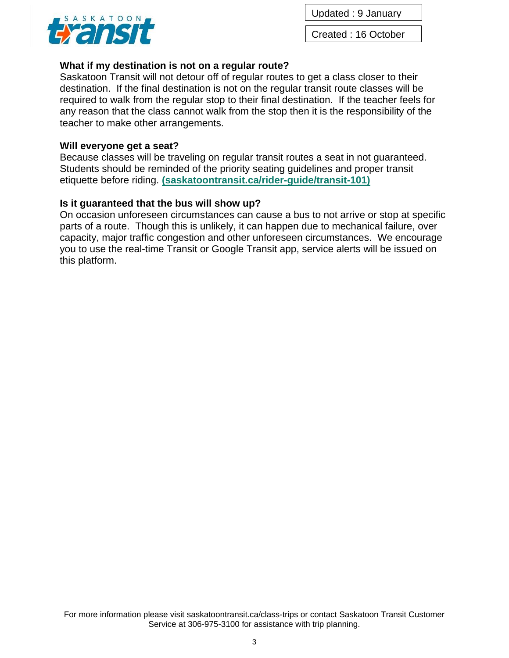

2018 16 October 2018 16 October 2018 16 October 2018 16 October 2018 16 October 2018 16 October 2018 16 Octobe<br>2017 16 October 2018 16 October 2018 16 October 2018 16 October 2018 16 October 2018 16 October 2018 16 Octobe Created : 16 October

#### **What if my destination is not on a regular route?**

Saskatoon Transit will not detour off of regular routes to get a class closer to their destination. If the final destination is not on the regular transit route classes will be required to walk from the regular stop to their final destination. If the teacher feels for any reason that the class cannot walk from the stop then it is the responsibility of the teacher to make other arrangements.

#### **Will everyone get a seat?**

Because classes will be traveling on regular transit routes a seat in not guaranteed. Students should be reminded of the priority seating guidelines and proper transit etiquette before riding. **(saskatoontransit.ca/rider-guide/transit-101)**

#### **Is it guaranteed that the bus will show up?**

On occasion unforeseen circumstances can cause a bus to not arrive or stop at specific parts of a route. Though this is unlikely, it can happen due to mechanical failure, over capacity, major traffic congestion and other unforeseen circumstances. We encourage you to use the real-time Transit or Google Transit app, service alerts will be issued on this platform.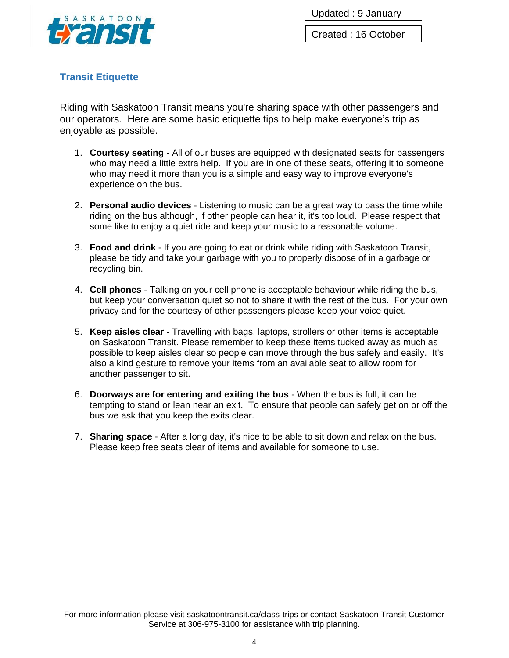

2018 16 October 2018 16 October 2018 16 October 2018 16 October 2018 16 October 2018 16 October 2018 16 Octobe<br>2017 16 October 2018 16 October 2018 16 October 2018 16 October 2018 16 October 2018 16 October 2018 16 Octobe Created : 16 October

# **Transit Etiquette**

Riding with Saskatoon Transit means you're sharing space with other passengers and our operators. Here are some basic etiquette tips to help make everyone's trip as enjoyable as possible.

- 1. **Courtesy seating** All of our buses are equipped with designated seats for passengers who may need a little extra help. If you are in one of these seats, offering it to someone who may need it more than you is a simple and easy way to improve everyone's experience on the bus.
- 2. **Personal audio devices** Listening to music can be a great way to pass the time while riding on the bus although, if other people can hear it, it's too loud. Please respect that some like to enjoy a quiet ride and keep your music to a reasonable volume.
- 3. **Food and drink** If you are going to eat or drink while riding with Saskatoon Transit, please be tidy and take your garbage with you to properly dispose of in a garbage or recycling bin.
- 4. **Cell phones** Talking on your cell phone is acceptable behaviour while riding the bus, but keep your conversation quiet so not to share it with the rest of the bus. For your own privacy and for the courtesy of other passengers please keep your voice quiet.
- 5. **Keep aisles clear** Travelling with bags, laptops, strollers or other items is acceptable on Saskatoon Transit. Please remember to keep these items tucked away as much as possible to keep aisles clear so people can move through the bus safely and easily. It's also a kind gesture to remove your items from an available seat to allow room for another passenger to sit.
- 6. **Doorways are for entering and exiting the bus** When the bus is full, it can be tempting to stand or lean near an exit. To ensure that people can safely get on or off the bus we ask that you keep the exits clear.
- 7. **Sharing space** After a long day, it's nice to be able to sit down and relax on the bus. Please keep free seats clear of items and available for someone to use.